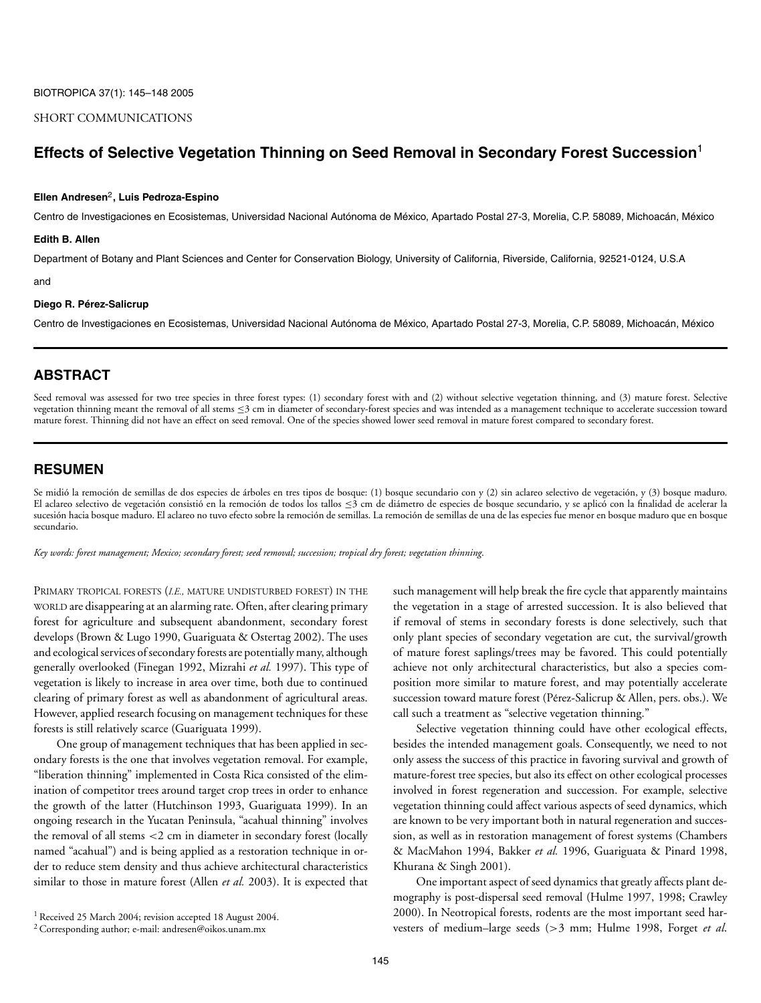BIOTROPICA 37(1): 145–148 2005

SHORT COMMUNICATIONS

# **Effects of Selective Vegetation Thinning on Seed Removal in Secondary Forest Succession**<sup>1</sup>

### **Ellen Andresen**2**, Luis Pedroza-Espino**

Centro de Investigaciones en Ecosistemas, Universidad Nacional Autónoma de México, Apartado Postal 27-3, Morelia, C.P. 58089, Michoacán, México

#### **Edith B. Allen**

Department of Botany and Plant Sciences and Center for Conservation Biology, University of California, Riverside, California, 92521-0124, U.S.A

and

### **Diego R. Perez-Salicrup ´**

Centro de Investigaciones en Ecosistemas, Universidad Nacional Autónoma de México, Apartado Postal 27-3, Morelia, C.P. 58089, Michoacán, México

### **ABSTRACT**

Seed removal was assessed for two tree species in three forest types: (1) secondary forest with and (2) without selective vegetation thinning, and (3) mature forest. Selective vegetation thinning meant the removal of all stems ≤3 cm in diameter of secondary-forest species and was intended as a management technique to accelerate succession toward mature forest. Thinning did not have an effect on seed removal. One of the species showed lower seed removal in mature forest compared to secondary forest.

## **RESUMEN**

Se midió la remoción de semillas de dos especies de árboles en tres tipos de bosque: (1) bosque secundario con y (2) sin aclareo selectivo de vegetación, y (3) bosque maduro. El aclareo selectivo de vegetación consistió en la remoción de todos los tallos  $\leq$ 3 cm de diámetro de especies de bosque secundario, y se aplicó con la finalidad de acelerar la sucesión hacia bosque maduro. El aclareo no tuvo efecto sobre la remoción de semillas. La remoción de semillas de una de las especies fue menor en bosque maduro que en bosque secundario.

*Key words: forest management; Mexico; secondary forest; seed removal; succession; tropical dry forest; vegetation thinning*.

PRIMARY TROPICAL FORESTS (*I.E.,* MATURE UNDISTURBED FOREST) IN THE WORLD are disappearing at an alarming rate. Often, after clearing primary forest for agriculture and subsequent abandonment, secondary forest develops (Brown & Lugo 1990, Guariguata & Ostertag 2002). The uses and ecological services of secondary forests are potentially many, although generally overlooked (Finegan 1992, Mizrahi *et al.* 1997). This type of vegetation is likely to increase in area over time, both due to continued clearing of primary forest as well as abandonment of agricultural areas. However, applied research focusing on management techniques for these forests is still relatively scarce (Guariguata 1999).

One group of management techniques that has been applied in secondary forests is the one that involves vegetation removal. For example, "liberation thinning" implemented in Costa Rica consisted of the elimination of competitor trees around target crop trees in order to enhance the growth of the latter (Hutchinson 1993, Guariguata 1999). In an ongoing research in the Yucatan Peninsula, "acahual thinning" involves the removal of all stems <2 cm in diameter in secondary forest (locally named "acahual") and is being applied as a restoration technique in order to reduce stem density and thus achieve architectural characteristics similar to those in mature forest (Allen *et al.* 2003). It is expected that such management will help break the fire cycle that apparently maintains the vegetation in a stage of arrested succession. It is also believed that if removal of stems in secondary forests is done selectively, such that only plant species of secondary vegetation are cut, the survival/growth of mature forest saplings/trees may be favored. This could potentially achieve not only architectural characteristics, but also a species composition more similar to mature forest, and may potentially accelerate succession toward mature forest (Pérez-Salicrup & Allen, pers. obs.). We call such a treatment as "selective vegetation thinning."

Selective vegetation thinning could have other ecological effects, besides the intended management goals. Consequently, we need to not only assess the success of this practice in favoring survival and growth of mature-forest tree species, but also its effect on other ecological processes involved in forest regeneration and succession. For example, selective vegetation thinning could affect various aspects of seed dynamics, which are known to be very important both in natural regeneration and succession, as well as in restoration management of forest systems (Chambers & MacMahon 1994, Bakker *et al.* 1996, Guariguata & Pinard 1998, Khurana & Singh 2001).

One important aspect of seed dynamics that greatly affects plant demography is post-dispersal seed removal (Hulme 1997, 1998; Crawley 2000). In Neotropical forests, rodents are the most important seed harvesters of medium–large seeds (>3 mm; Hulme 1998, Forget *et al*.

<sup>1</sup> Received 25 March 2004; revision accepted 18 August 2004.

<sup>2</sup> Corresponding author; e-mail: andresen@oikos.unam.mx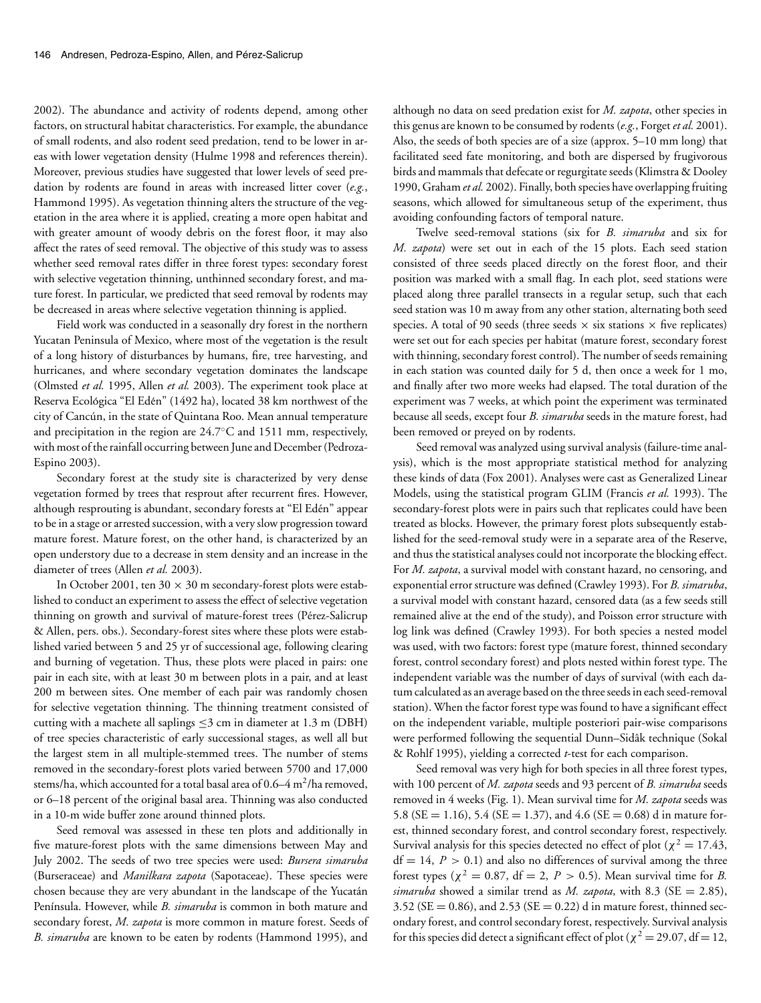2002). The abundance and activity of rodents depend, among other factors, on structural habitat characteristics. For example, the abundance of small rodents, and also rodent seed predation, tend to be lower in areas with lower vegetation density (Hulme 1998 and references therein). Moreover, previous studies have suggested that lower levels of seed predation by rodents are found in areas with increased litter cover (*e.g.*, Hammond 1995). As vegetation thinning alters the structure of the vegetation in the area where it is applied, creating a more open habitat and with greater amount of woody debris on the forest floor, it may also affect the rates of seed removal. The objective of this study was to assess whether seed removal rates differ in three forest types: secondary forest with selective vegetation thinning, unthinned secondary forest, and mature forest. In particular, we predicted that seed removal by rodents may be decreased in areas where selective vegetation thinning is applied.

Field work was conducted in a seasonally dry forest in the northern Yucatan Peninsula of Mexico, where most of the vegetation is the result of a long history of disturbances by humans, fire, tree harvesting, and hurricanes, and where secondary vegetation dominates the landscape (Olmsted *et al.* 1995, Allen *et al.* 2003). The experiment took place at Reserva Ecológica "El Edén" (1492 ha), located 38 km northwest of the city of Cancún, in the state of Quintana Roo. Mean annual temperature and precipitation in the region are 24.7◦C and 1511 mm, respectively, with most of the rainfall occurring between June and December (Pedroza-Espino 2003).

Secondary forest at the study site is characterized by very dense vegetation formed by trees that resprout after recurrent fires. However, although resprouting is abundant, secondary forests at "El Edén" appear to be in a stage or arrested succession, with a very slow progression toward mature forest. Mature forest, on the other hand, is characterized by an open understory due to a decrease in stem density and an increase in the diameter of trees (Allen *et al.* 2003).

In October 2001, ten  $30 \times 30$  m secondary-forest plots were established to conduct an experiment to assess the effect of selective vegetation thinning on growth and survival of mature-forest trees (Pérez-Salicrup & Allen, pers. obs.). Secondary-forest sites where these plots were established varied between 5 and 25 yr of successional age, following clearing and burning of vegetation. Thus, these plots were placed in pairs: one pair in each site, with at least 30 m between plots in a pair, and at least 200 m between sites. One member of each pair was randomly chosen for selective vegetation thinning. The thinning treatment consisted of cutting with a machete all saplings  $\leq$ 3 cm in diameter at 1.3 m (DBH) of tree species characteristic of early successional stages, as well all but the largest stem in all multiple-stemmed trees. The number of stems removed in the secondary-forest plots varied between 5700 and 17,000 stems/ha, which accounted for a total basal area of 0.6–4 m<sup>2</sup>/ha removed, or 6–18 percent of the original basal area. Thinning was also conducted in a 10-m wide buffer zone around thinned plots.

Seed removal was assessed in these ten plots and additionally in five mature-forest plots with the same dimensions between May and July 2002. The seeds of two tree species were used: *Bursera simaruba* (Burseraceae) and *Manilkara zapota* (Sapotaceae). These species were chosen because they are very abundant in the landscape of the Yucatán Península. However, while *B. simaruba* is common in both mature and secondary forest, *M. zapota* is more common in mature forest. Seeds of *B. simaruba* are known to be eaten by rodents (Hammond 1995), and although no data on seed predation exist for *M. zapota*, other species in this genus are known to be consumed by rodents (*e.g.*, Forget *et al.* 2001). Also, the seeds of both species are of a size (approx. 5–10 mm long) that facilitated seed fate monitoring, and both are dispersed by frugivorous birds and mammals that defecate or regurgitate seeds (Klimstra & Dooley 1990, Graham *et al.* 2002). Finally, both species have overlapping fruiting seasons, which allowed for simultaneous setup of the experiment, thus avoiding confounding factors of temporal nature.

Twelve seed-removal stations (six for *B. simaruba* and six for *M. zapota*) were set out in each of the 15 plots. Each seed station consisted of three seeds placed directly on the forest floor, and their position was marked with a small flag. In each plot, seed stations were placed along three parallel transects in a regular setup, such that each seed station was 10 m away from any other station, alternating both seed species. A total of 90 seeds (three seeds  $\times$  six stations  $\times$  five replicates) were set out for each species per habitat (mature forest, secondary forest with thinning, secondary forest control). The number of seeds remaining in each station was counted daily for 5 d, then once a week for 1 mo, and finally after two more weeks had elapsed. The total duration of the experiment was 7 weeks, at which point the experiment was terminated because all seeds, except four *B. simaruba* seeds in the mature forest, had been removed or preyed on by rodents.

Seed removal was analyzed using survival analysis (failure-time analysis), which is the most appropriate statistical method for analyzing these kinds of data (Fox 2001). Analyses were cast as Generalized Linear Models, using the statistical program GLIM (Francis *et al.* 1993). The secondary-forest plots were in pairs such that replicates could have been treated as blocks. However, the primary forest plots subsequently established for the seed-removal study were in a separate area of the Reserve, and thus the statistical analyses could not incorporate the blocking effect. For *M. zapota*, a survival model with constant hazard, no censoring, and exponential error structure was defined (Crawley 1993). For *B. simaruba*, a survival model with constant hazard, censored data (as a few seeds still remained alive at the end of the study), and Poisson error structure with log link was defined (Crawley 1993). For both species a nested model was used, with two factors: forest type (mature forest, thinned secondary forest, control secondary forest) and plots nested within forest type. The independent variable was the number of days of survival (with each datum calculated as an average based on the three seeds in each seed-removal station). When the factor forest type was found to have a significant effect on the independent variable, multiple posteriori pair-wise comparisons were performed following the sequential Dunn-Sidâk technique (Sokal & Rohlf 1995), yielding a corrected *t*-test for each comparison.

Seed removal was very high for both species in all three forest types, with 100 percent of *M. zapota* seeds and 93 percent of *B. simaruba* seeds removed in 4 weeks (Fig. 1). Mean survival time for *M. zapota* seeds was 5.8 (SE = 1.16), 5.4 (SE = 1.37), and 4.6 (SE = 0.68) d in mature forest, thinned secondary forest, and control secondary forest, respectively. Survival analysis for this species detected no effect of plot ( $\chi^2 = 17.43$ ,  $df = 14$ ,  $P > 0.1$ ) and also no differences of survival among the three forest types ( $\chi^2 = 0.87$ , df = 2, *P* > 0.5). Mean survival time for *B*. *simaruba* showed a similar trend as *M. zapota*, with 8.3 (SE = 2.85), 3.52 ( $SE = 0.86$ ), and 2.53 ( $SE = 0.22$ ) d in mature forest, thinned secondary forest, and control secondary forest, respectively. Survival analysis for this species did detect a significant effect of plot ( $\chi^2 = 29.07$ , df = 12,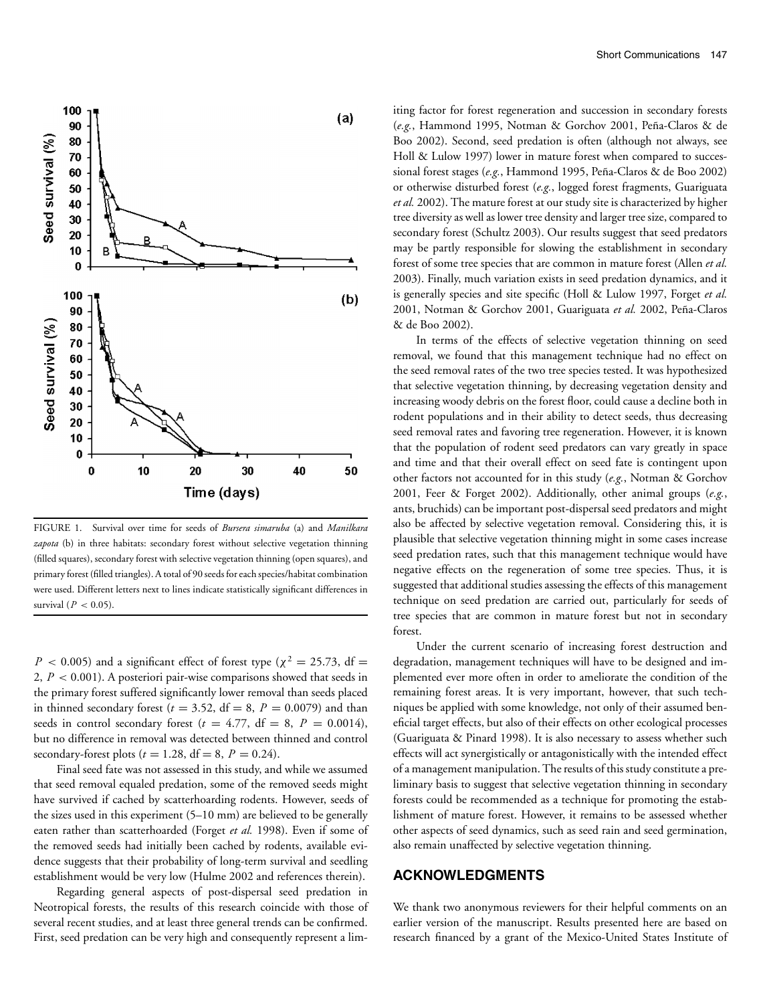

FIGURE 1. Survival over time for seeds of *Bursera simaruba* (a) and *Manilkara zapota* (b) in three habitats: secondary forest without selective vegetation thinning (filled squares), secondary forest with selective vegetation thinning (open squares), and primary forest (filled triangles). A total of 90 seeds for each species/habitat combination were used. Different letters next to lines indicate statistically significant differences in survival (*P* < 0.05).

 $P$  < 0.005) and a significant effect of forest type ( $\chi^2$  = 25.73, df = 2, *P* < 0.001). A posteriori pair-wise comparisons showed that seeds in the primary forest suffered significantly lower removal than seeds placed in thinned secondary forest ( $t = 3.52$ , df = 8,  $P = 0.0079$ ) and than seeds in control secondary forest ( $t = 4.77$ , df = 8,  $P = 0.0014$ ), but no difference in removal was detected between thinned and control secondary-forest plots ( $t = 1.28$ , df = 8,  $P = 0.24$ ).

Final seed fate was not assessed in this study, and while we assumed that seed removal equaled predation, some of the removed seeds might have survived if cached by scatterhoarding rodents. However, seeds of the sizes used in this experiment (5–10 mm) are believed to be generally eaten rather than scatterhoarded (Forget *et al.* 1998). Even if some of the removed seeds had initially been cached by rodents, available evidence suggests that their probability of long-term survival and seedling establishment would be very low (Hulme 2002 and references therein).

Regarding general aspects of post-dispersal seed predation in Neotropical forests, the results of this research coincide with those of several recent studies, and at least three general trends can be confirmed. First, seed predation can be very high and consequently represent a limiting factor for forest regeneration and succession in secondary forests (*e.g.*, Hammond 1995, Notman & Gorchov 2001, Pena-Claros & de ˜ Boo 2002). Second, seed predation is often (although not always, see Holl & Lulow 1997) lower in mature forest when compared to successional forest stages (e.g., Hammond 1995, Peña-Claros & de Boo 2002) or otherwise disturbed forest (*e.g.*, logged forest fragments, Guariguata *et al.* 2002). The mature forest at our study site is characterized by higher tree diversity as well as lower tree density and larger tree size, compared to secondary forest (Schultz 2003). Our results suggest that seed predators may be partly responsible for slowing the establishment in secondary forest of some tree species that are common in mature forest (Allen *et al.* 2003). Finally, much variation exists in seed predation dynamics, and it is generally species and site specific (Holl & Lulow 1997, Forget *et al.* 2001, Notman & Gorchov 2001, Guariguata et al. 2002, Peña-Claros & de Boo 2002).

In terms of the effects of selective vegetation thinning on seed removal, we found that this management technique had no effect on the seed removal rates of the two tree species tested. It was hypothesized that selective vegetation thinning, by decreasing vegetation density and increasing woody debris on the forest floor, could cause a decline both in rodent populations and in their ability to detect seeds, thus decreasing seed removal rates and favoring tree regeneration. However, it is known that the population of rodent seed predators can vary greatly in space and time and that their overall effect on seed fate is contingent upon other factors not accounted for in this study (*e.g.*, Notman & Gorchov 2001, Feer & Forget 2002). Additionally, other animal groups (*e.g.*, ants, bruchids) can be important post-dispersal seed predators and might also be affected by selective vegetation removal. Considering this, it is plausible that selective vegetation thinning might in some cases increase seed predation rates, such that this management technique would have negative effects on the regeneration of some tree species. Thus, it is suggested that additional studies assessing the effects of this management technique on seed predation are carried out, particularly for seeds of tree species that are common in mature forest but not in secondary forest.

Under the current scenario of increasing forest destruction and degradation, management techniques will have to be designed and implemented ever more often in order to ameliorate the condition of the remaining forest areas. It is very important, however, that such techniques be applied with some knowledge, not only of their assumed beneficial target effects, but also of their effects on other ecological processes (Guariguata & Pinard 1998). It is also necessary to assess whether such effects will act synergistically or antagonistically with the intended effect of a management manipulation. The results of this study constitute a preliminary basis to suggest that selective vegetation thinning in secondary forests could be recommended as a technique for promoting the establishment of mature forest. However, it remains to be assessed whether other aspects of seed dynamics, such as seed rain and seed germination, also remain unaffected by selective vegetation thinning.

## **ACKNOWLEDGMENTS**

We thank two anonymous reviewers for their helpful comments on an earlier version of the manuscript. Results presented here are based on research financed by a grant of the Mexico-United States Institute of